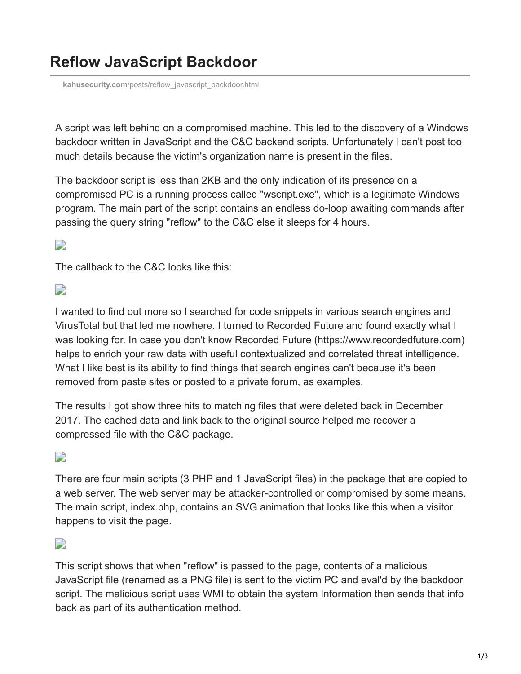# **Reflow JavaScript Backdoor**

**kahusecurity.com**[/posts/reflow\\_javascript\\_backdoor.html](http://www.kahusecurity.com/posts/reflow_javascript_backdoor.html)

A script was left behind on a compromised machine. This led to the discovery of a Windows backdoor written in JavaScript and the C&C backend scripts. Unfortunately I can't post too much details because the victim's organization name is present in the files.

The backdoor script is less than 2KB and the only indication of its presence on a compromised PC is a running process called "wscript.exe", which is a legitimate Windows program. The main part of the script contains an endless do-loop awaiting commands after passing the query string "reflow" to the C&C else it sleeps for 4 hours.

#### $\overline{\phantom{a}}$

The callback to the C&C looks like this:

## $\Box$

I wanted to find out more so I searched for code snippets in various search engines and VirusTotal but that led me nowhere. I turned to Recorded Future and found exactly what I was looking for. In case you don't know Recorded Future (https://www.recordedfuture.com) helps to enrich your raw data with useful contextualized and correlated threat intelligence. What I like best is its ability to find things that search engines can't because it's been removed from paste sites or posted to a private forum, as examples.

The results I got show three hits to matching files that were deleted back in December 2017. The cached data and link back to the original source helped me recover a compressed file with the C&C package.

# $\overline{\phantom{a}}$

There are four main scripts (3 PHP and 1 JavaScript files) in the package that are copied to a web server. The web server may be attacker-controlled or compromised by some means. The main script, index.php, contains an SVG animation that looks like this when a visitor happens to visit the page.

#### $\overline{\phantom{a}}$

This script shows that when "reflow" is passed to the page, contents of a malicious JavaScript file (renamed as a PNG file) is sent to the victim PC and eval'd by the backdoor script. The malicious script uses WMI to obtain the system Information then sends that info back as part of its authentication method.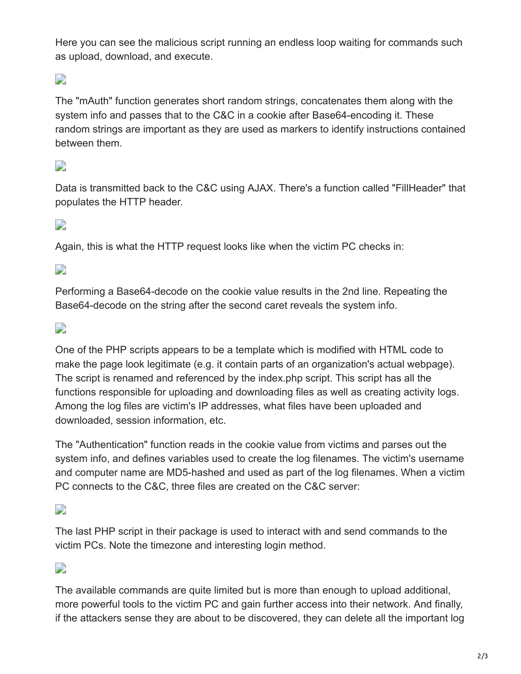Here you can see the malicious script running an endless loop waiting for commands such as upload, download, and execute.

# $\overline{\phantom{a}}$

The "mAuth" function generates short random strings, concatenates them along with the system info and passes that to the C&C in a cookie after Base64-encoding it. These random strings are important as they are used as markers to identify instructions contained between them.

### $\overline{\phantom{a}}$

Data is transmitted back to the C&C using AJAX. There's a function called "FillHeader" that populates the HTTP header.

#### $\overline{\phantom{a}}$

Again, this is what the HTTP request looks like when the victim PC checks in:

 $\overline{\phantom{a}}$ 

Performing a Base64-decode on the cookie value results in the 2nd line. Repeating the Base64-decode on the string after the second caret reveals the system info.

#### $\overline{\phantom{a}}$

One of the PHP scripts appears to be a template which is modified with HTML code to make the page look legitimate (e.g. it contain parts of an organization's actual webpage). The script is renamed and referenced by the index.php script. This script has all the functions responsible for uploading and downloading files as well as creating activity logs. Among the log files are victim's IP addresses, what files have been uploaded and downloaded, session information, etc.

The "Authentication" function reads in the cookie value from victims and parses out the system info, and defines variables used to create the log filenames. The victim's username and computer name are MD5-hashed and used as part of the log filenames. When a victim PC connects to the C&C, three files are created on the C&C server:

#### $\overline{\phantom{a}}$

The last PHP script in their package is used to interact with and send commands to the victim PCs. Note the timezone and interesting login method.

#### $\overline{\phantom{a}}$

The available commands are quite limited but is more than enough to upload additional, more powerful tools to the victim PC and gain further access into their network. And finally, if the attackers sense they are about to be discovered, they can delete all the important log